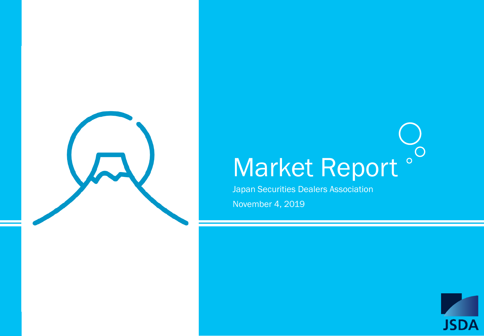

# Market Report °

Japan Securities Dealers Association

November 4, 2019

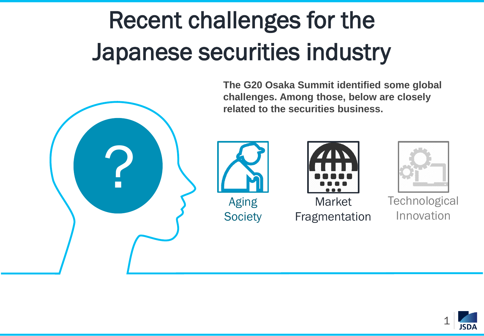# Recent challenges for the Japanese securities industry



**The G20 Osaka Summit identified some global challenges. Among those, below are closely related to the securities business.**





**Market** Fragmentation



**Technological** Innovation

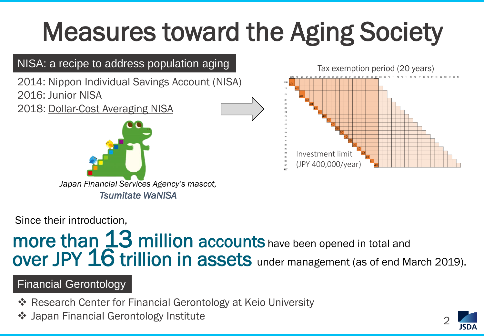# Measures toward the Aging Society



Since their introduction,

## more than 13 million accounts have been opened in total and over JPY 16 trillion in assets under management (as of end March 2019).

### Financial Gerontology

- **Example 28 Ferontical Gerontology at Keio University**
- Japan Financial Gerontology Institute

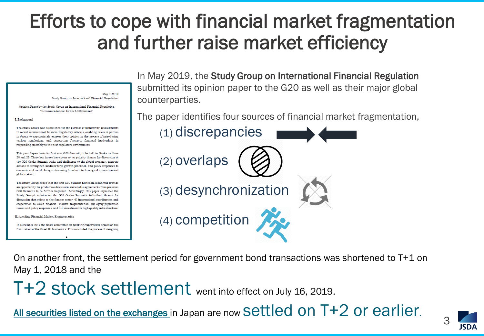## Efforts to cope with financial market fragmentation and further raise market efficiency

May 7 2019 Study Group on International Financial Regulation

Opinion Paper by the Study Group on International Financial Regulation "Recommendations for the G20 Summit"

#### **I.** Background

The Study Group was established for the purpose of monitoring developments in recent international financial regulatory reforms, enabling relevant parties in Japan to appropriately express their opinion in the process of introducing various regulations, and supporting Japanese financial institutions in responding smoothly to the new regulatory environment.

This year Japan hosts its first ever G20 Summit, to be held in Osaka on June 28 and 29. Three key issues have been set as priority themes for discussion at the G20 Osaka Summit' risks and challenges to the global economy, concrete actions to strengthen medium term growth potential, and policy responses to economic and social changes stemming from both technological innovation and globalization

The Study Group hopes that the first G20 Summit hosted in Japan will provide an opportunity for productive discussion and enable agreements from previous G20 Summits to be further improved. Accordingly, this paper expresses the Study Group's opinion on the G20 Osaka Summit's individual themes for discussion that relate to the finance sector: (i) international coordination and cooperation to avoid financial market fragmentation, (ii) aging population issues and policy responses, and (iii) investment in high quality infrastructure.

**II.** Avoiding Financial Market Fragmentation

In December 2017 the Basel Committee on Banking Supervision agreed on the finalization of the Basel III framework. This concluded the process of designing In May 2019, the Study Group on International Financial Regulation submitted its opinion paper to the G20 as well as their major global counterparties.

The paper identifies four sources of financial market fragmentation,



On another front, the settlement period for government bond transactions was shortened to T+1 on May 1, 2018 and the

T+2 stock settlement went into effect on July 16, 2019.

All securities listed on the exchanges in Japan are now Settled on T+2 or earlier.